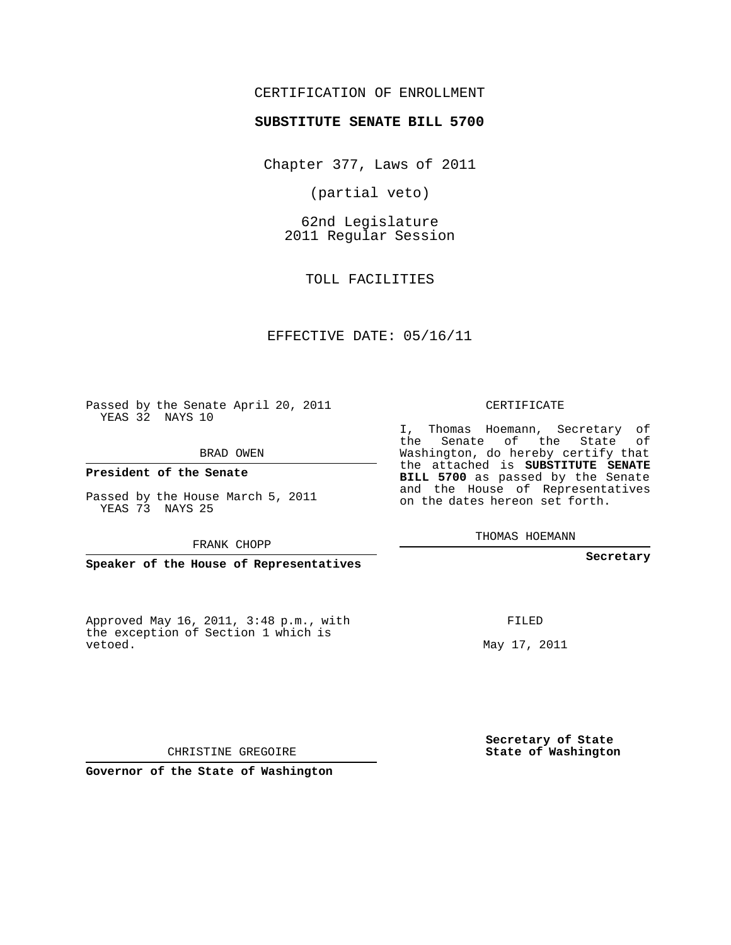# CERTIFICATION OF ENROLLMENT

#### **SUBSTITUTE SENATE BILL 5700**

Chapter 377, Laws of 2011

(partial veto)

62nd Legislature 2011 Regular Session

TOLL FACILITIES

## EFFECTIVE DATE: 05/16/11

Passed by the Senate April 20, 2011 YEAS 32 NAYS 10

BRAD OWEN

### **President of the Senate**

Passed by the House March 5, 2011 YEAS 73 NAYS 25

#### FRANK CHOPP

**Speaker of the House of Representatives**

Approved May 16, 2011, 3:48 p.m., with the exception of Section 1 which is vetoed.

CERTIFICATE

I, Thomas Hoemann, Secretary of the Senate of the State of Washington, do hereby certify that the attached is **SUBSTITUTE SENATE BILL 5700** as passed by the Senate and the House of Representatives on the dates hereon set forth.

THOMAS HOEMANN

#### **Secretary**

FILED

May 17, 2011

**Secretary of State State of Washington**

CHRISTINE GREGOIRE

**Governor of the State of Washington**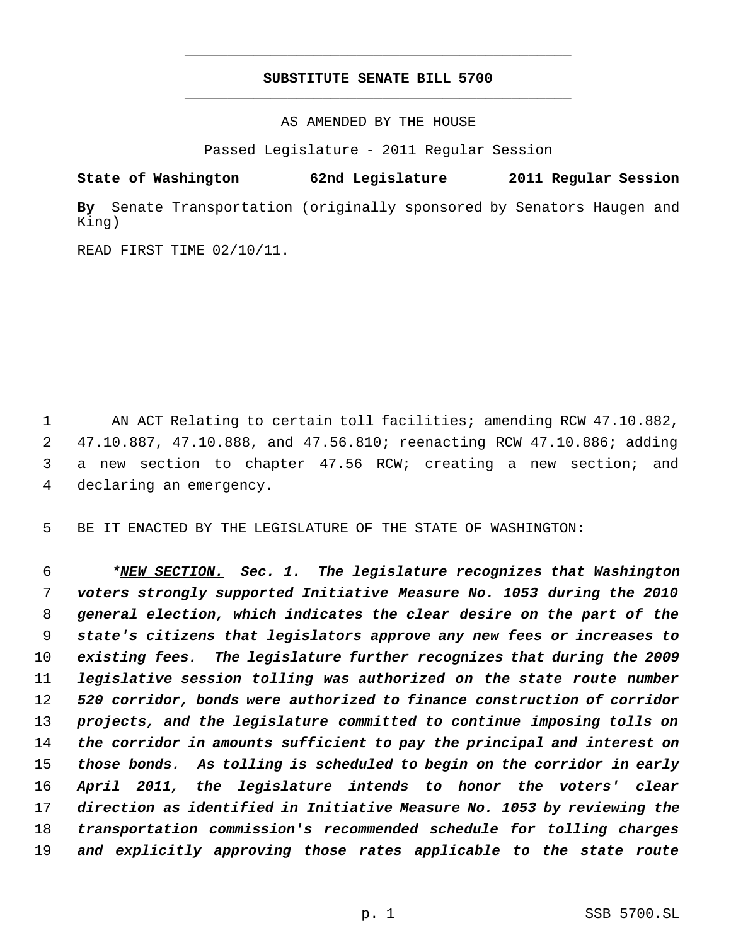# **SUBSTITUTE SENATE BILL 5700** \_\_\_\_\_\_\_\_\_\_\_\_\_\_\_\_\_\_\_\_\_\_\_\_\_\_\_\_\_\_\_\_\_\_\_\_\_\_\_\_\_\_\_\_\_

\_\_\_\_\_\_\_\_\_\_\_\_\_\_\_\_\_\_\_\_\_\_\_\_\_\_\_\_\_\_\_\_\_\_\_\_\_\_\_\_\_\_\_\_\_

AS AMENDED BY THE HOUSE

Passed Legislature - 2011 Regular Session

**State of Washington 62nd Legislature 2011 Regular Session**

**By** Senate Transportation (originally sponsored by Senators Haugen and King)

READ FIRST TIME 02/10/11.

 AN ACT Relating to certain toll facilities; amending RCW 47.10.882, 47.10.887, 47.10.888, and 47.56.810; reenacting RCW 47.10.886; adding a new section to chapter 47.56 RCW; creating a new section; and declaring an emergency.

BE IT ENACTED BY THE LEGISLATURE OF THE STATE OF WASHINGTON:

 *\*NEW SECTION. Sec. 1. The legislature recognizes that Washington voters strongly supported Initiative Measure No. 1053 during the 2010 general election, which indicates the clear desire on the part of the state's citizens that legislators approve any new fees or increases to existing fees. The legislature further recognizes that during the 2009 legislative session tolling was authorized on the state route number 520 corridor, bonds were authorized to finance construction of corridor projects, and the legislature committed to continue imposing tolls on the corridor in amounts sufficient to pay the principal and interest on those bonds. As tolling is scheduled to begin on the corridor in early April 2011, the legislature intends to honor the voters' clear direction as identified in Initiative Measure No. 1053 by reviewing the transportation commission's recommended schedule for tolling charges and explicitly approving those rates applicable to the state route*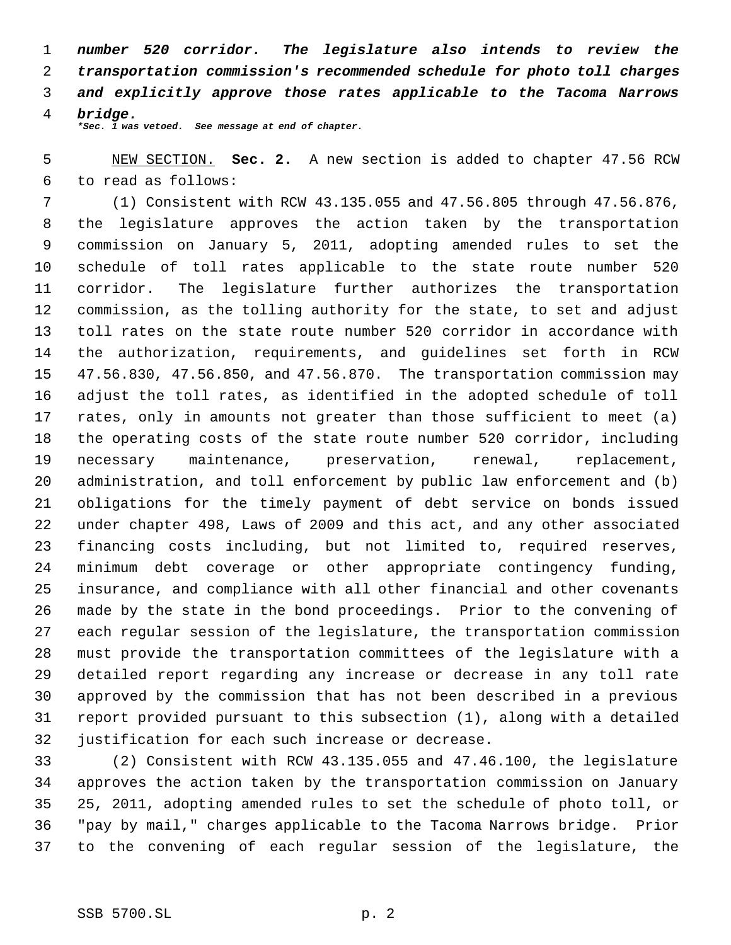*number 520 corridor. The legislature also intends to review the transportation commission's recommended schedule for photo toll charges and explicitly approve those rates applicable to the Tacoma Narrows bridge.*

*\*Sec. 1 was vetoed. See message at end of chapter.*

# NEW SECTION. **Sec. 2.** A new section is added to chapter 47.56 RCW to read as follows:

 (1) Consistent with RCW 43.135.055 and 47.56.805 through 47.56.876, the legislature approves the action taken by the transportation commission on January 5, 2011, adopting amended rules to set the schedule of toll rates applicable to the state route number 520 corridor. The legislature further authorizes the transportation commission, as the tolling authority for the state, to set and adjust toll rates on the state route number 520 corridor in accordance with the authorization, requirements, and guidelines set forth in RCW 47.56.830, 47.56.850, and 47.56.870. The transportation commission may adjust the toll rates, as identified in the adopted schedule of toll rates, only in amounts not greater than those sufficient to meet (a) the operating costs of the state route number 520 corridor, including necessary maintenance, preservation, renewal, replacement, administration, and toll enforcement by public law enforcement and (b) obligations for the timely payment of debt service on bonds issued under chapter 498, Laws of 2009 and this act, and any other associated financing costs including, but not limited to, required reserves, minimum debt coverage or other appropriate contingency funding, insurance, and compliance with all other financial and other covenants made by the state in the bond proceedings. Prior to the convening of each regular session of the legislature, the transportation commission must provide the transportation committees of the legislature with a detailed report regarding any increase or decrease in any toll rate approved by the commission that has not been described in a previous report provided pursuant to this subsection (1), along with a detailed justification for each such increase or decrease.

 (2) Consistent with RCW 43.135.055 and 47.46.100, the legislature approves the action taken by the transportation commission on January 25, 2011, adopting amended rules to set the schedule of photo toll, or "pay by mail," charges applicable to the Tacoma Narrows bridge. Prior to the convening of each regular session of the legislature, the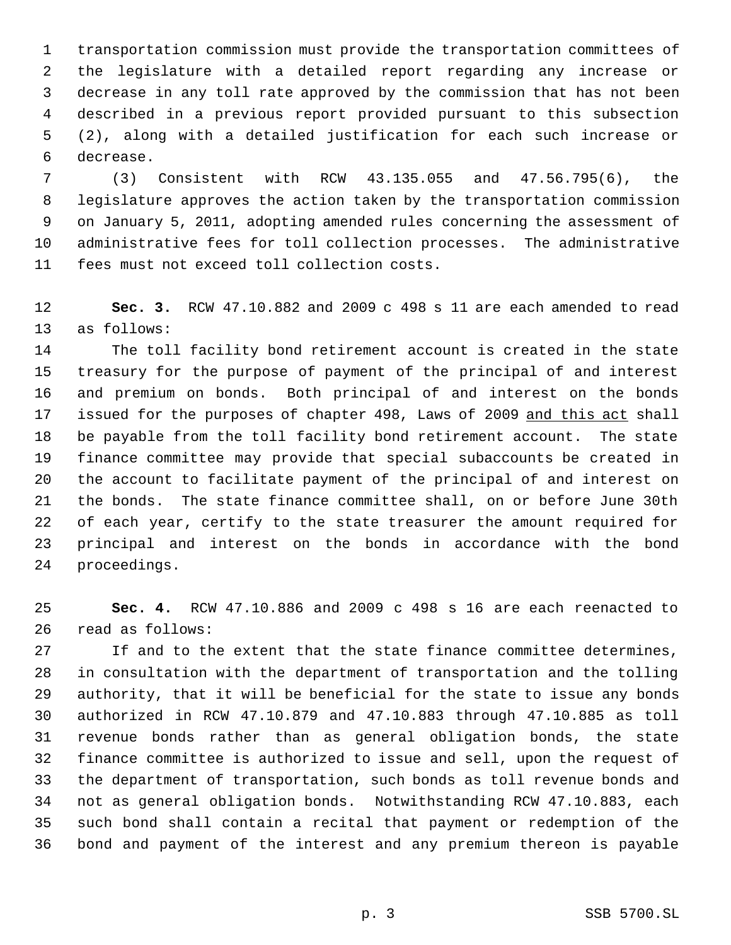transportation commission must provide the transportation committees of the legislature with a detailed report regarding any increase or decrease in any toll rate approved by the commission that has not been described in a previous report provided pursuant to this subsection (2), along with a detailed justification for each such increase or decrease.

 (3) Consistent with RCW 43.135.055 and 47.56.795(6), the legislature approves the action taken by the transportation commission on January 5, 2011, adopting amended rules concerning the assessment of administrative fees for toll collection processes. The administrative fees must not exceed toll collection costs.

 **Sec. 3.** RCW 47.10.882 and 2009 c 498 s 11 are each amended to read as follows:

 The toll facility bond retirement account is created in the state treasury for the purpose of payment of the principal of and interest and premium on bonds. Both principal of and interest on the bonds 17 issued for the purposes of chapter 498, Laws of 2009 and this act shall be payable from the toll facility bond retirement account. The state finance committee may provide that special subaccounts be created in the account to facilitate payment of the principal of and interest on the bonds. The state finance committee shall, on or before June 30th of each year, certify to the state treasurer the amount required for principal and interest on the bonds in accordance with the bond proceedings.

 **Sec. 4.** RCW 47.10.886 and 2009 c 498 s 16 are each reenacted to read as follows:

 If and to the extent that the state finance committee determines, in consultation with the department of transportation and the tolling authority, that it will be beneficial for the state to issue any bonds authorized in RCW 47.10.879 and 47.10.883 through 47.10.885 as toll revenue bonds rather than as general obligation bonds, the state finance committee is authorized to issue and sell, upon the request of the department of transportation, such bonds as toll revenue bonds and not as general obligation bonds. Notwithstanding RCW 47.10.883, each such bond shall contain a recital that payment or redemption of the bond and payment of the interest and any premium thereon is payable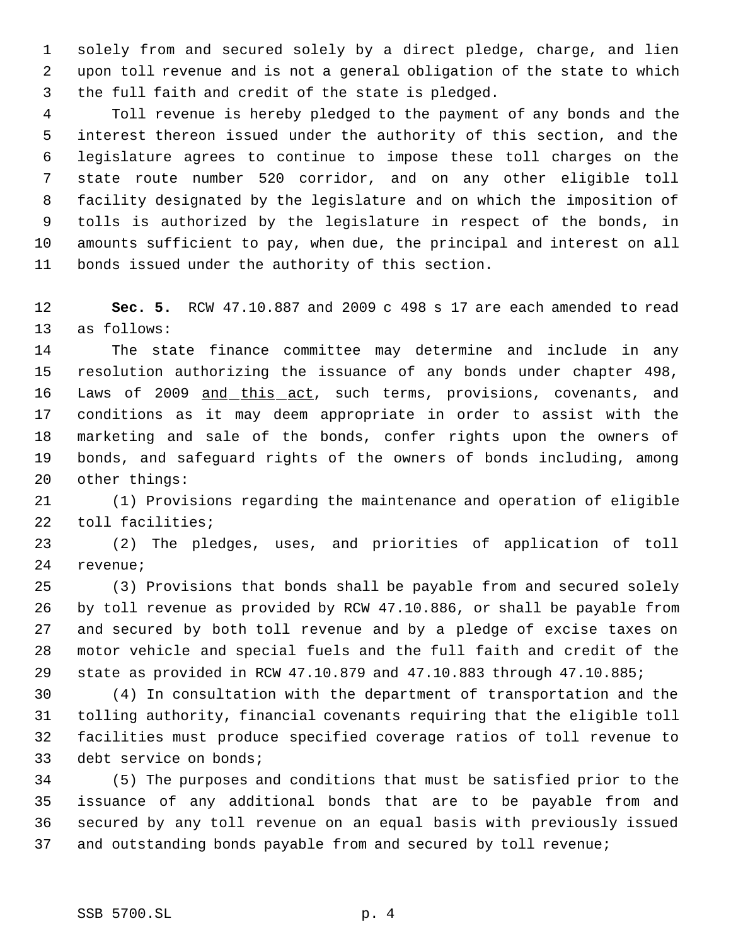solely from and secured solely by a direct pledge, charge, and lien upon toll revenue and is not a general obligation of the state to which the full faith and credit of the state is pledged.

 Toll revenue is hereby pledged to the payment of any bonds and the interest thereon issued under the authority of this section, and the legislature agrees to continue to impose these toll charges on the state route number 520 corridor, and on any other eligible toll facility designated by the legislature and on which the imposition of tolls is authorized by the legislature in respect of the bonds, in amounts sufficient to pay, when due, the principal and interest on all bonds issued under the authority of this section.

 **Sec. 5.** RCW 47.10.887 and 2009 c 498 s 17 are each amended to read as follows:

 The state finance committee may determine and include in any resolution authorizing the issuance of any bonds under chapter 498, 16 Laws of 2009 and this act, such terms, provisions, covenants, and conditions as it may deem appropriate in order to assist with the marketing and sale of the bonds, confer rights upon the owners of bonds, and safeguard rights of the owners of bonds including, among other things:

 (1) Provisions regarding the maintenance and operation of eligible toll facilities;

 (2) The pledges, uses, and priorities of application of toll revenue;

 (3) Provisions that bonds shall be payable from and secured solely by toll revenue as provided by RCW 47.10.886, or shall be payable from and secured by both toll revenue and by a pledge of excise taxes on motor vehicle and special fuels and the full faith and credit of the state as provided in RCW 47.10.879 and 47.10.883 through 47.10.885;

 (4) In consultation with the department of transportation and the tolling authority, financial covenants requiring that the eligible toll facilities must produce specified coverage ratios of toll revenue to debt service on bonds;

 (5) The purposes and conditions that must be satisfied prior to the issuance of any additional bonds that are to be payable from and secured by any toll revenue on an equal basis with previously issued and outstanding bonds payable from and secured by toll revenue;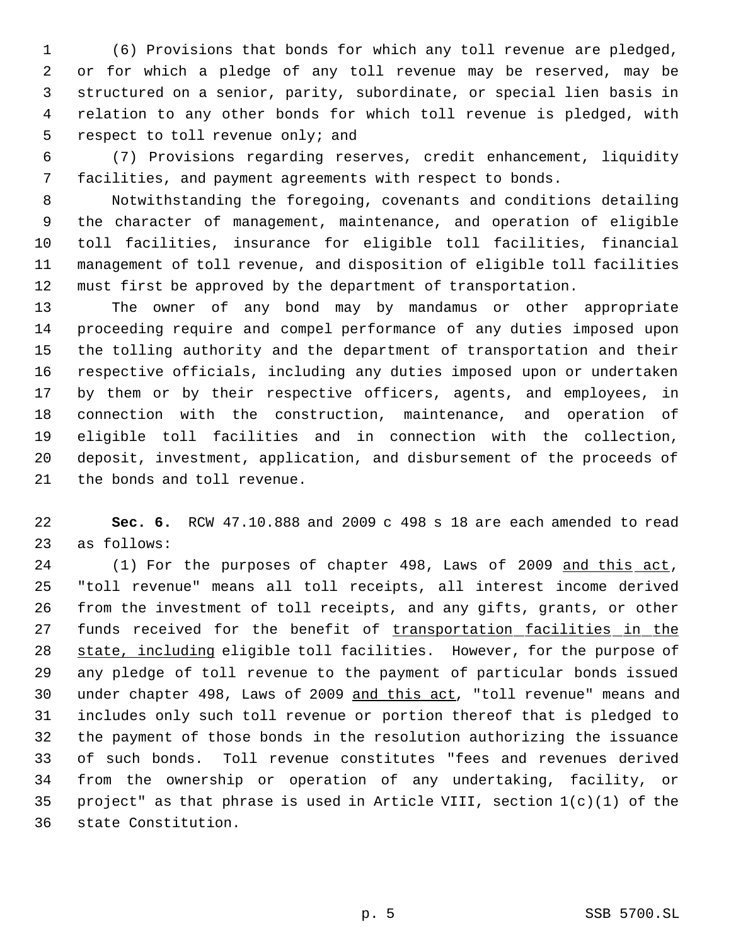(6) Provisions that bonds for which any toll revenue are pledged, or for which a pledge of any toll revenue may be reserved, may be structured on a senior, parity, subordinate, or special lien basis in relation to any other bonds for which toll revenue is pledged, with respect to toll revenue only; and

 (7) Provisions regarding reserves, credit enhancement, liquidity facilities, and payment agreements with respect to bonds.

 Notwithstanding the foregoing, covenants and conditions detailing the character of management, maintenance, and operation of eligible toll facilities, insurance for eligible toll facilities, financial management of toll revenue, and disposition of eligible toll facilities must first be approved by the department of transportation.

 The owner of any bond may by mandamus or other appropriate proceeding require and compel performance of any duties imposed upon the tolling authority and the department of transportation and their respective officials, including any duties imposed upon or undertaken by them or by their respective officers, agents, and employees, in connection with the construction, maintenance, and operation of eligible toll facilities and in connection with the collection, deposit, investment, application, and disbursement of the proceeds of the bonds and toll revenue.

 **Sec. 6.** RCW 47.10.888 and 2009 c 498 s 18 are each amended to read as follows:

24 (1) For the purposes of chapter 498, Laws of 2009 and this act, "toll revenue" means all toll receipts, all interest income derived from the investment of toll receipts, and any gifts, grants, or other 27 funds received for the benefit of transportation facilities in the state, including eligible toll facilities. However, for the purpose of any pledge of toll revenue to the payment of particular bonds issued under chapter 498, Laws of 2009 and this act, "toll revenue" means and includes only such toll revenue or portion thereof that is pledged to the payment of those bonds in the resolution authorizing the issuance of such bonds. Toll revenue constitutes "fees and revenues derived from the ownership or operation of any undertaking, facility, or 35 project" as that phrase is used in Article VIII, section  $1(c)(1)$  of the state Constitution.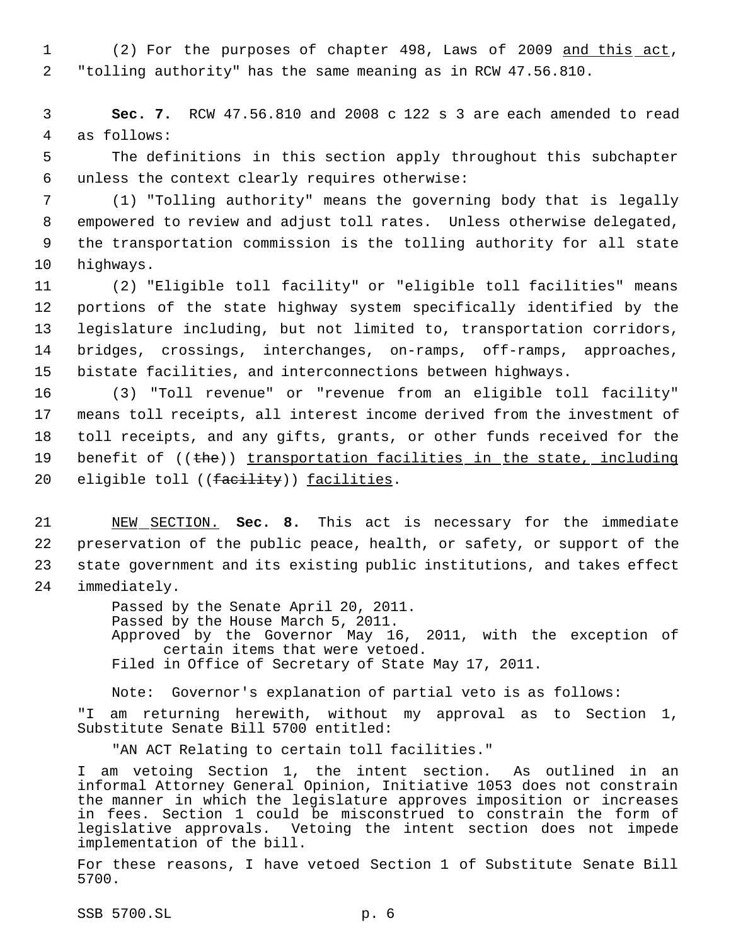1 (2) For the purposes of chapter 498, Laws of 2009 and this act, 2 "tolling authority" has the same meaning as in RCW 47.56.810.

 3 **Sec. 7.** RCW 47.56.810 and 2008 c 122 s 3 are each amended to read 4 as follows:

 5 The definitions in this section apply throughout this subchapter 6 unless the context clearly requires otherwise:

 (1) "Tolling authority" means the governing body that is legally empowered to review and adjust toll rates. Unless otherwise delegated, the transportation commission is the tolling authority for all state highways.

 (2) "Eligible toll facility" or "eligible toll facilities" means portions of the state highway system specifically identified by the legislature including, but not limited to, transportation corridors, bridges, crossings, interchanges, on-ramps, off-ramps, approaches, bistate facilities, and interconnections between highways.

16 (3) "Toll revenue" or "revenue from an eligible toll facility" 17 means toll receipts, all interest income derived from the investment of 18 toll receipts, and any gifts, grants, or other funds received for the 19 benefit of ((the)) transportation facilities in the state, including 20 eligible toll ((facility)) facilities.

 NEW SECTION. **Sec. 8.** This act is necessary for the immediate preservation of the public peace, health, or safety, or support of the state government and its existing public institutions, and takes effect immediately.

> Passed by the Senate April 20, 2011. Passed by the House March 5, 2011. Approved by the Governor May 16, 2011, with the exception of certain items that were vetoed. Filed in Office of Secretary of State May 17, 2011.

Note: Governor's explanation of partial veto is as follows: "I am returning herewith, without my approval as to Section 1, Substitute Senate Bill 5700 entitled:

"AN ACT Relating to certain toll facilities."

I am vetoing Section 1, the intent section. As outlined in an informal Attorney General Opinion, Initiative 1053 does not constrain the manner in which the legislature approves imposition or increases in fees. Section 1 could be misconstrued to constrain the form of legislative approvals. Vetoing the intent section does not impede implementation of the bill.

For these reasons, I have vetoed Section 1 of Substitute Senate Bill 5700.

SSB 5700.SL p. 6